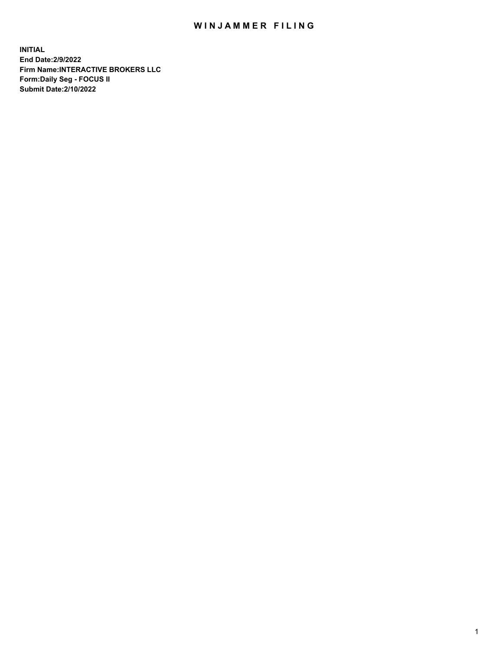## WIN JAMMER FILING

**INITIAL End Date:2/9/2022 Firm Name:INTERACTIVE BROKERS LLC Form:Daily Seg - FOCUS II Submit Date:2/10/2022**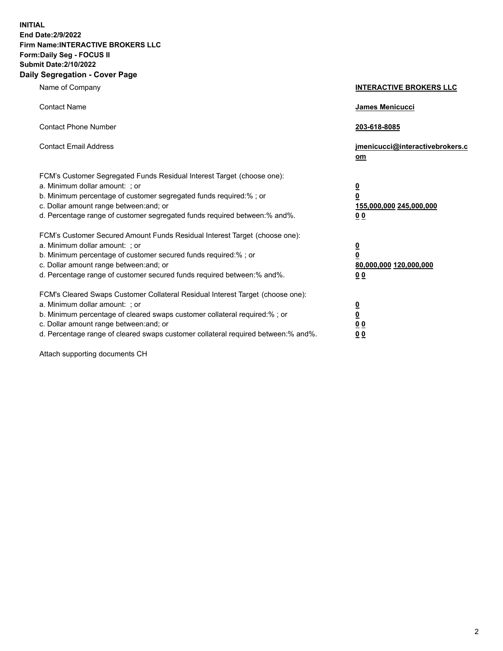**INITIAL End Date:2/9/2022 Firm Name:INTERACTIVE BROKERS LLC Form:Daily Seg - FOCUS II Submit Date:2/10/2022 Daily Segregation - Cover Page**

| Name of Company                                                                                                                                                                                                                                                                                                                | <b>INTERACTIVE BROKERS LLC</b>                                                     |
|--------------------------------------------------------------------------------------------------------------------------------------------------------------------------------------------------------------------------------------------------------------------------------------------------------------------------------|------------------------------------------------------------------------------------|
| <b>Contact Name</b>                                                                                                                                                                                                                                                                                                            | James Menicucci                                                                    |
| <b>Contact Phone Number</b>                                                                                                                                                                                                                                                                                                    | 203-618-8085                                                                       |
| <b>Contact Email Address</b>                                                                                                                                                                                                                                                                                                   | jmenicucci@interactivebrokers.c<br>om                                              |
| FCM's Customer Segregated Funds Residual Interest Target (choose one):<br>a. Minimum dollar amount: ; or<br>b. Minimum percentage of customer segregated funds required:% ; or<br>c. Dollar amount range between: and; or<br>d. Percentage range of customer segregated funds required between:% and%.                         | $\overline{\mathbf{0}}$<br>$\pmb{0}$<br>155,000,000 245,000,000<br>0 <sub>0</sub>  |
| FCM's Customer Secured Amount Funds Residual Interest Target (choose one):<br>a. Minimum dollar amount: ; or<br>b. Minimum percentage of customer secured funds required:% ; or<br>c. Dollar amount range between: and; or<br>d. Percentage range of customer secured funds required between:% and%.                           | $\overline{\mathbf{0}}$<br>$\overline{\mathbf{0}}$<br>80,000,000 120,000,000<br>00 |
| FCM's Cleared Swaps Customer Collateral Residual Interest Target (choose one):<br>a. Minimum dollar amount: ; or<br>b. Minimum percentage of cleared swaps customer collateral required:% ; or<br>c. Dollar amount range between: and; or<br>d. Percentage range of cleared swaps customer collateral required between:% and%. | $\frac{0}{0}$<br>0 <sub>0</sub><br>0 <sub>0</sub>                                  |

Attach supporting documents CH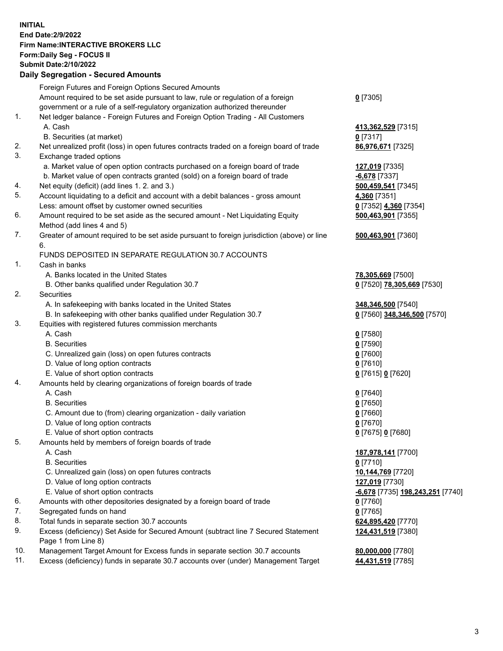**INITIAL End Date:2/9/2022 Firm Name:INTERACTIVE BROKERS LLC Form:Daily Seg - FOCUS II Submit Date:2/10/2022 Daily Segregation - Secured Amounts**

|     | Dany Oogrogaach - Occarea Amounte                                                                          |                                                |
|-----|------------------------------------------------------------------------------------------------------------|------------------------------------------------|
|     | Foreign Futures and Foreign Options Secured Amounts                                                        |                                                |
|     | Amount required to be set aside pursuant to law, rule or regulation of a foreign                           | $0$ [7305]                                     |
|     | government or a rule of a self-regulatory organization authorized thereunder                               |                                                |
| 1.  | Net ledger balance - Foreign Futures and Foreign Option Trading - All Customers                            |                                                |
|     | A. Cash                                                                                                    | 413,362,529 [7315]                             |
|     | B. Securities (at market)                                                                                  | $0$ [7317]                                     |
| 2.  | Net unrealized profit (loss) in open futures contracts traded on a foreign board of trade                  | 86,976,671 [7325]                              |
| 3.  | Exchange traded options                                                                                    |                                                |
|     | a. Market value of open option contracts purchased on a foreign board of trade                             | 127,019 [7335]                                 |
|     | b. Market value of open contracts granted (sold) on a foreign board of trade                               | $-6,678$ [7337]                                |
| 4.  | Net equity (deficit) (add lines 1. 2. and 3.)                                                              | 500,459,541 [7345]                             |
| 5.  | Account liquidating to a deficit and account with a debit balances - gross amount                          | 4,360 [7351]                                   |
|     | Less: amount offset by customer owned securities                                                           | 0 [7352] 4,360 [7354]                          |
| 6.  | Amount required to be set aside as the secured amount - Net Liquidating Equity                             | 500,463,901 [7355]                             |
|     | Method (add lines 4 and 5)                                                                                 |                                                |
| 7.  | Greater of amount required to be set aside pursuant to foreign jurisdiction (above) or line                | 500,463,901 [7360]                             |
|     | 6.                                                                                                         |                                                |
|     | FUNDS DEPOSITED IN SEPARATE REGULATION 30.7 ACCOUNTS                                                       |                                                |
| 1.  | Cash in banks                                                                                              |                                                |
|     | A. Banks located in the United States                                                                      | 78,305,669 [7500]                              |
|     | B. Other banks qualified under Regulation 30.7                                                             | 0 [7520] 78,305,669 [7530]                     |
| 2.  | Securities                                                                                                 |                                                |
|     | A. In safekeeping with banks located in the United States                                                  | 348,346,500 [7540]                             |
|     | B. In safekeeping with other banks qualified under Regulation 30.7                                         | 0 [7560] 348,346,500 [7570]                    |
| 3.  | Equities with registered futures commission merchants                                                      |                                                |
|     | A. Cash                                                                                                    | $0$ [7580]                                     |
|     | <b>B.</b> Securities                                                                                       | $0$ [7590]                                     |
|     | C. Unrealized gain (loss) on open futures contracts                                                        | $0$ [7600]                                     |
|     | D. Value of long option contracts                                                                          | $0$ [7610]                                     |
|     | E. Value of short option contracts                                                                         | 0 [7615] 0 [7620]                              |
| 4.  | Amounts held by clearing organizations of foreign boards of trade                                          |                                                |
|     | A. Cash                                                                                                    | $0$ [7640]                                     |
|     | <b>B.</b> Securities                                                                                       | $0$ [7650]                                     |
|     | C. Amount due to (from) clearing organization - daily variation                                            | $0$ [7660]                                     |
|     | D. Value of long option contracts                                                                          | $0$ [7670]                                     |
|     | E. Value of short option contracts                                                                         | 0 [7675] 0 [7680]                              |
| 5.  | Amounts held by members of foreign boards of trade                                                         |                                                |
|     | A. Cash                                                                                                    | 187,978,141 [7700]                             |
|     | <b>B.</b> Securities                                                                                       | $0$ [7710]                                     |
|     | C. Unrealized gain (loss) on open futures contracts                                                        | 10,144,769 [7720]                              |
|     | D. Value of long option contracts                                                                          | 127,019 [7730]                                 |
|     | E. Value of short option contracts                                                                         | <u>-6,678</u> [7735] <u>198,243,251</u> [7740] |
| 6.  | Amounts with other depositories designated by a foreign board of trade                                     | $0$ [7760]                                     |
| 7.  | Segregated funds on hand                                                                                   | $0$ [7765]                                     |
| 8.  | Total funds in separate section 30.7 accounts                                                              | 624,895,420 [7770]                             |
| 9.  | Excess (deficiency) Set Aside for Secured Amount (subtract line 7 Secured Statement<br>Page 1 from Line 8) | 124,431,519 [7380]                             |
| 10. | Management Target Amount for Excess funds in separate section 30.7 accounts                                | 80,000,000 [7780]                              |
| 11. | Excess (deficiency) funds in separate 30.7 accounts over (under) Management Target                         | 44,431,519 [7785]                              |
|     |                                                                                                            |                                                |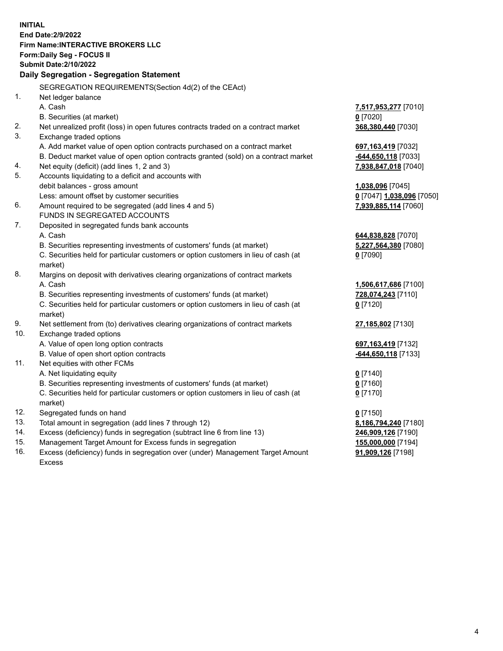**INITIAL End Date:2/9/2022 Firm Name:INTERACTIVE BROKERS LLC Form:Daily Seg - FOCUS II Submit Date:2/10/2022 Daily Segregation - Segregation Statement** SEGREGATION REQUIREMENTS(Section 4d(2) of the CEAct) 1. Net ledger balance A. Cash **7,517,953,277** [7010] B. Securities (at market) **0** [7020] 2. Net unrealized profit (loss) in open futures contracts traded on a contract market **368,380,440** [7030] 3. Exchange traded options A. Add market value of open option contracts purchased on a contract market **697,163,419** [7032] B. Deduct market value of open option contracts granted (sold) on a contract market **-644,650,118** [7033] 4. Net equity (deficit) (add lines 1, 2 and 3) **7,938,847,018** [7040] 5. Accounts liquidating to a deficit and accounts with debit balances - gross amount **1,038,096** [7045] Less: amount offset by customer securities **0** [7047] **1,038,096** [7050] 6. Amount required to be segregated (add lines 4 and 5) **7,939,885,114** [7060] FUNDS IN SEGREGATED ACCOUNTS 7. Deposited in segregated funds bank accounts A. Cash **644,838,828** [7070] B. Securities representing investments of customers' funds (at market) **5,227,564,380** [7080] C. Securities held for particular customers or option customers in lieu of cash (at market) **0** [7090] 8. Margins on deposit with derivatives clearing organizations of contract markets A. Cash **1,506,617,686** [7100] B. Securities representing investments of customers' funds (at market) **728,074,243** [7110] C. Securities held for particular customers or option customers in lieu of cash (at market) **0** [7120] 9. Net settlement from (to) derivatives clearing organizations of contract markets **27,185,802** [7130] 10. Exchange traded options A. Value of open long option contracts **697,163,419** [7132] B. Value of open short option contracts **-644,650,118** [7133] 11. Net equities with other FCMs A. Net liquidating equity **0** [7140] B. Securities representing investments of customers' funds (at market) **0** [7160] C. Securities held for particular customers or option customers in lieu of cash (at market) **0** [7170] 12. Segregated funds on hand **0** [7150] 13. Total amount in segregation (add lines 7 through 12) **8,186,794,240** [7180] 14. Excess (deficiency) funds in segregation (subtract line 6 from line 13) **246,909,126** [7190] 15. Management Target Amount for Excess funds in segregation **155,000,000** [7194]

16. Excess (deficiency) funds in segregation over (under) Management Target Amount Excess

**91,909,126** [7198]